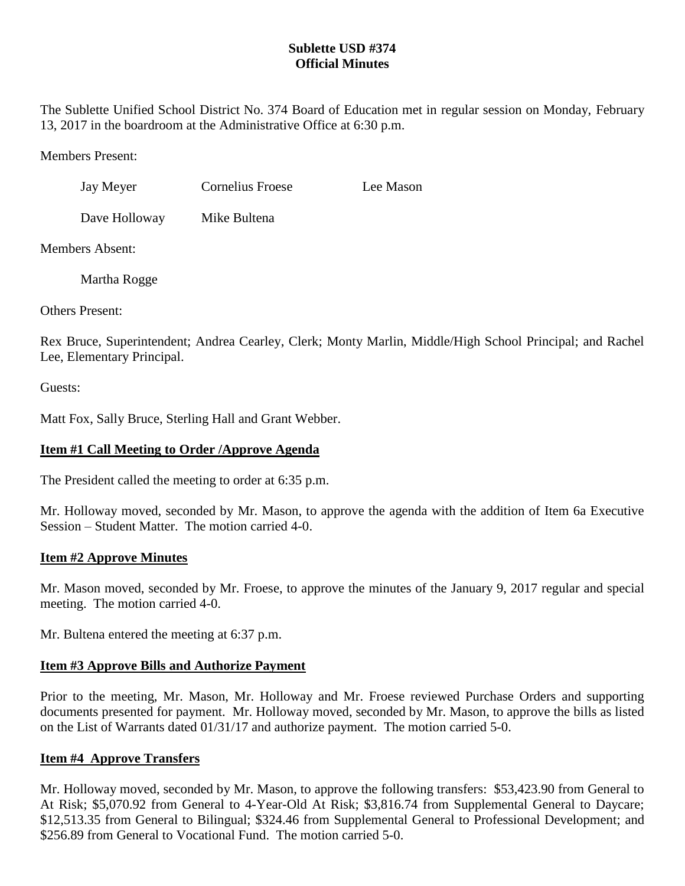# **Sublette USD #374 Official Minutes**

The Sublette Unified School District No. 374 Board of Education met in regular session on Monday, February 13, 2017 in the boardroom at the Administrative Office at 6:30 p.m.

Members Present:

| Jay Meyer     | <b>Cornelius Froese</b> | Lee Mason |
|---------------|-------------------------|-----------|
| Dave Holloway | Mike Bultena            |           |

Members Absent:

Martha Rogge

Others Present:

Rex Bruce, Superintendent; Andrea Cearley, Clerk; Monty Marlin, Middle/High School Principal; and Rachel Lee, Elementary Principal.

Guests:

Matt Fox, Sally Bruce, Sterling Hall and Grant Webber.

# **Item #1 Call Meeting to Order /Approve Agenda**

The President called the meeting to order at 6:35 p.m.

Mr. Holloway moved, seconded by Mr. Mason, to approve the agenda with the addition of Item 6a Executive Session – Student Matter. The motion carried 4-0.

## **Item #2 Approve Minutes**

Mr. Mason moved, seconded by Mr. Froese, to approve the minutes of the January 9, 2017 regular and special meeting. The motion carried 4-0.

Mr. Bultena entered the meeting at 6:37 p.m.

# **Item #3 Approve Bills and Authorize Payment**

Prior to the meeting, Mr. Mason, Mr. Holloway and Mr. Froese reviewed Purchase Orders and supporting documents presented for payment. Mr. Holloway moved, seconded by Mr. Mason, to approve the bills as listed on the List of Warrants dated 01/31/17 and authorize payment. The motion carried 5-0.

## **Item #4 Approve Transfers**

Mr. Holloway moved, seconded by Mr. Mason, to approve the following transfers: \$53,423.90 from General to At Risk; \$5,070.92 from General to 4-Year-Old At Risk; \$3,816.74 from Supplemental General to Daycare; \$12,513.35 from General to Bilingual; \$324.46 from Supplemental General to Professional Development; and \$256.89 from General to Vocational Fund. The motion carried 5-0.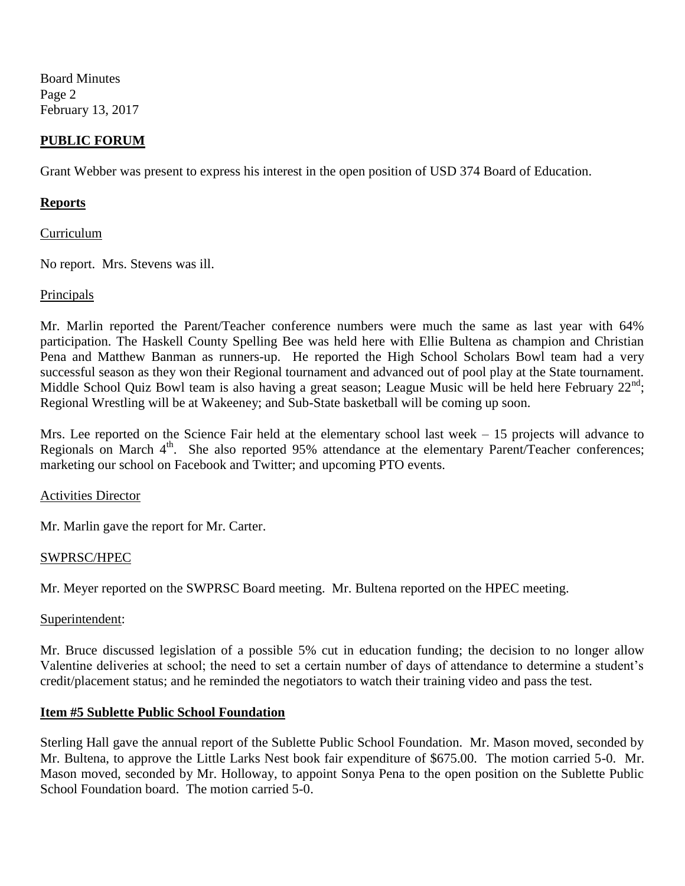Board Minutes Page 2 February 13, 2017

### **PUBLIC FORUM**

Grant Webber was present to express his interest in the open position of USD 374 Board of Education.

#### **Reports**

#### Curriculum

No report. Mrs. Stevens was ill.

#### **Principals**

Mr. Marlin reported the Parent/Teacher conference numbers were much the same as last year with 64% participation. The Haskell County Spelling Bee was held here with Ellie Bultena as champion and Christian Pena and Matthew Banman as runners-up. He reported the High School Scholars Bowl team had a very successful season as they won their Regional tournament and advanced out of pool play at the State tournament. Middle School Quiz Bowl team is also having a great season; League Music will be held here February  $22^{nd}$ ; Regional Wrestling will be at Wakeeney; and Sub-State basketball will be coming up soon.

Mrs. Lee reported on the Science Fair held at the elementary school last week – 15 projects will advance to Regionals on March  $4<sup>th</sup>$ . She also reported 95% attendance at the elementary Parent/Teacher conferences; marketing our school on Facebook and Twitter; and upcoming PTO events.

#### Activities Director

Mr. Marlin gave the report for Mr. Carter.

#### SWPRSC/HPEC

Mr. Meyer reported on the SWPRSC Board meeting. Mr. Bultena reported on the HPEC meeting.

#### Superintendent:

Mr. Bruce discussed legislation of a possible 5% cut in education funding; the decision to no longer allow Valentine deliveries at school; the need to set a certain number of days of attendance to determine a student's credit/placement status; and he reminded the negotiators to watch their training video and pass the test.

#### **Item #5 Sublette Public School Foundation**

Sterling Hall gave the annual report of the Sublette Public School Foundation. Mr. Mason moved, seconded by Mr. Bultena, to approve the Little Larks Nest book fair expenditure of \$675.00. The motion carried 5-0. Mr. Mason moved, seconded by Mr. Holloway, to appoint Sonya Pena to the open position on the Sublette Public School Foundation board. The motion carried 5-0.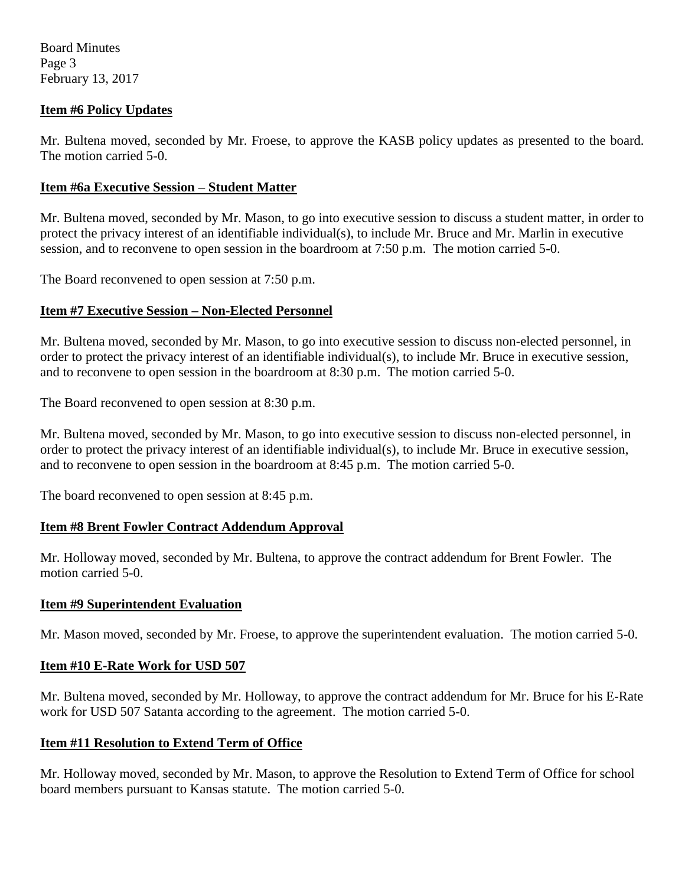Board Minutes Page 3 February 13, 2017

## **Item #6 Policy Updates**

Mr. Bultena moved, seconded by Mr. Froese, to approve the KASB policy updates as presented to the board. The motion carried 5-0.

### **Item #6a Executive Session – Student Matter**

Mr. Bultena moved, seconded by Mr. Mason, to go into executive session to discuss a student matter, in order to protect the privacy interest of an identifiable individual(s), to include Mr. Bruce and Mr. Marlin in executive session, and to reconvene to open session in the boardroom at 7:50 p.m. The motion carried 5-0.

The Board reconvened to open session at 7:50 p.m.

### **Item #7 Executive Session – Non-Elected Personnel**

Mr. Bultena moved, seconded by Mr. Mason, to go into executive session to discuss non-elected personnel, in order to protect the privacy interest of an identifiable individual(s), to include Mr. Bruce in executive session, and to reconvene to open session in the boardroom at 8:30 p.m. The motion carried 5-0.

The Board reconvened to open session at 8:30 p.m.

Mr. Bultena moved, seconded by Mr. Mason, to go into executive session to discuss non-elected personnel, in order to protect the privacy interest of an identifiable individual(s), to include Mr. Bruce in executive session, and to reconvene to open session in the boardroom at 8:45 p.m. The motion carried 5-0.

The board reconvened to open session at 8:45 p.m.

## **Item #8 Brent Fowler Contract Addendum Approval**

Mr. Holloway moved, seconded by Mr. Bultena, to approve the contract addendum for Brent Fowler. The motion carried 5-0.

#### **Item #9 Superintendent Evaluation**

Mr. Mason moved, seconded by Mr. Froese, to approve the superintendent evaluation. The motion carried 5-0.

#### **Item #10 E-Rate Work for USD 507**

Mr. Bultena moved, seconded by Mr. Holloway, to approve the contract addendum for Mr. Bruce for his E-Rate work for USD 507 Satanta according to the agreement. The motion carried 5-0.

#### **Item #11 Resolution to Extend Term of Office**

Mr. Holloway moved, seconded by Mr. Mason, to approve the Resolution to Extend Term of Office for school board members pursuant to Kansas statute. The motion carried 5-0.